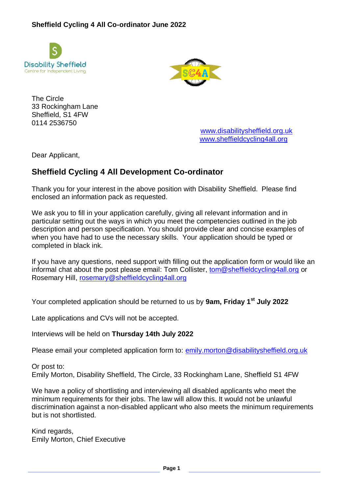



The Circle 33 Rockingham Lane Sheffield, S1 4FW 0114 2536750

[www.disabilitysheffield.org.uk](http://www.disabilitysheffield.org.uk/) [www.sheffieldcycling4all.org](http://www.sheffieldcycling4all.org/)

Dear Applicant,

# **Sheffield Cycling 4 All Development Co-ordinator**

Thank you for your interest in the above position with Disability Sheffield. Please find enclosed an information pack as requested.

We ask you to fill in your application carefully, giving all relevant information and in particular setting out the ways in which you meet the competencies outlined in the job description and person specification. You should provide clear and concise examples of when you have had to use the necessary skills. Your application should be typed or completed in black ink.

If you have any questions, need support with filling out the application form or would like an informal chat about the post please email: Tom Collister, [tom@sheffieldcycling4all.org](mailto:tom@sheffieldcycling4all.org) or Rosemary Hill, [rosemary@sheffieldcycling4all.org](mailto:rosemary@sheffieldcycling4all.org)

Your completed application should be returned to us by **9am, Friday 1st July 2022**

Late applications and CVs will not be accepted.

Interviews will be held on **Thursday 14th July 2022**

Please email your completed application form to: [emily.morton@disabilitysheffield.org.uk](mailto:emily.morton@disabilitysheffield.org.uk)

Or post to: Emily Morton, Disability Sheffield, The Circle, 33 Rockingham Lane, Sheffield S1 4FW

We have a policy of shortlisting and interviewing all disabled applicants who meet the minimum requirements for their jobs. The law will allow this. It would not be unlawful discrimination against a non-disabled applicant who also meets the minimum requirements but is not shortlisted.

Kind regards, Emily Morton, Chief Executive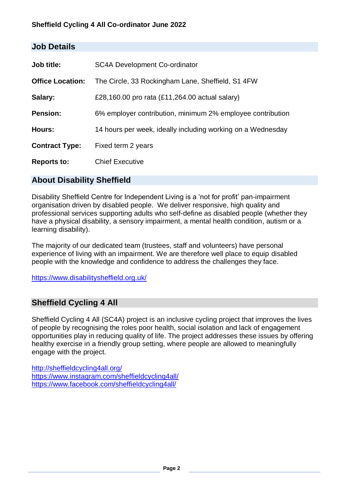### **Sheffield Cycling 4 All Co-ordinator June 2022**

| JUD DELAIIS             |                                                             |
|-------------------------|-------------------------------------------------------------|
|                         |                                                             |
| Job title:              | <b>SC4A Development Co-ordinator</b>                        |
| <b>Office Location:</b> | The Circle, 33 Rockingham Lane, Sheffield, S1 4FW           |
| Salary:                 | £28,160.00 pro rata (£11,264.00 actual salary)              |
| <b>Pension:</b>         | 6% employer contribution, minimum 2% employee contribution  |
| Hours:                  | 14 hours per week, ideally including working on a Wednesday |
| <b>Contract Type:</b>   | Fixed term 2 years                                          |
| <b>Reports to:</b>      | <b>Chief Executive</b>                                      |

## **About Disability Sheffield**

**Job Details**

Disability Sheffield Centre for Independent Living is a 'not for profit' pan-impairment organisation driven by disabled people. We deliver responsive, high quality and professional services supporting adults who self-define as disabled people (whether they have a physical disability, a sensory impairment, a mental health condition, autism or a learning disability).

The majority of our dedicated team (trustees, staff and volunteers) have personal experience of living with an impairment. We are therefore well place to equip disabled people with the knowledge and confidence to address the challenges they face.

<https://www.disabilitysheffield.org.uk/>

## **Sheffield Cycling 4 All**

Sheffield Cycling 4 All (SC4A) project is an inclusive cycling project that improves the lives of people by recognising the roles poor health, social isolation and lack of engagement opportunities play in reducing quality of life. The project addresses these issues by offering healthy exercise in a friendly group setting, where people are allowed to meaningfully engage with the project.

<http://sheffieldcycling4all.org/> <https://www.instagram.com/sheffieldcycling4all/> <https://www.facebook.com/sheffieldcycling4all/>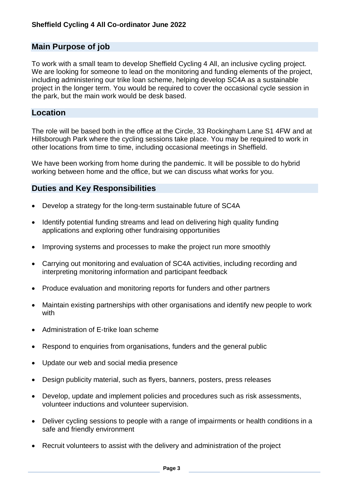## **Main Purpose of job**

To work with a small team to develop Sheffield Cycling 4 All, an inclusive cycling project. We are looking for someone to lead on the monitoring and funding elements of the project, including administering our trike loan scheme, helping develop SC4A as a sustainable project in the longer term. You would be required to cover the occasional cycle session in the park, but the main work would be desk based.

# **Location**

The role will be based both in the office at the Circle, 33 Rockingham Lane S1 4FW and at Hillsborough Park where the cycling sessions take place. You may be required to work in other locations from time to time, including occasional meetings in Sheffield.

We have been working from home during the pandemic. It will be possible to do hybrid working between home and the office, but we can discuss what works for you.

## **Duties and Key Responsibilities**

- Develop a strategy for the long-term sustainable future of SC4A
- Identify potential funding streams and lead on delivering high quality funding applications and exploring other fundraising opportunities
- Improving systems and processes to make the project run more smoothly
- Carrying out monitoring and evaluation of SC4A activities, including recording and interpreting monitoring information and participant feedback
- Produce evaluation and monitoring reports for funders and other partners
- Maintain existing partnerships with other organisations and identify new people to work with
- Administration of E-trike loan scheme
- Respond to enquiries from organisations, funders and the general public
- Update our web and social media presence
- Design publicity material, such as flyers, banners, posters, press releases
- Develop, update and implement policies and procedures such as risk assessments, volunteer inductions and volunteer supervision.
- Deliver cycling sessions to people with a range of impairments or health conditions in a safe and friendly environment
- Recruit volunteers to assist with the delivery and administration of the project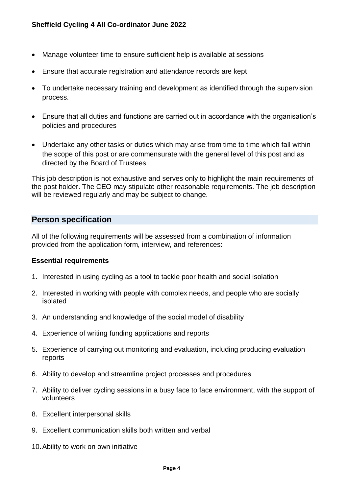- Manage volunteer time to ensure sufficient help is available at sessions
- Ensure that accurate registration and attendance records are kept
- To undertake necessary training and development as identified through the supervision process.
- Ensure that all duties and functions are carried out in accordance with the organisation's policies and procedures
- Undertake any other tasks or duties which may arise from time to time which fall within the scope of this post or are commensurate with the general level of this post and as directed by the Board of Trustees

This job description is not exhaustive and serves only to highlight the main requirements of the post holder. The CEO may stipulate other reasonable requirements. The job description will be reviewed regularly and may be subject to change.

### **Person specification**

All of the following requirements will be assessed from a combination of information provided from the application form, interview, and references:

### **Essential requirements**

- 1. Interested in using cycling as a tool to tackle poor health and social isolation
- 2. Interested in working with people with complex needs, and people who are socially isolated
- 3. An understanding and knowledge of the social model of disability
- 4. Experience of writing funding applications and reports
- 5. Experience of carrying out monitoring and evaluation, including producing evaluation reports
- 6. Ability to develop and streamline project processes and procedures
- 7. Ability to deliver cycling sessions in a busy face to face environment, with the support of volunteers
- 8. Excellent interpersonal skills
- 9. Excellent communication skills both written and verbal
- 10.Ability to work on own initiative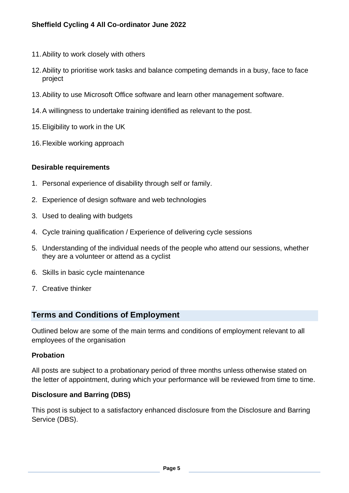### **Sheffield Cycling 4 All Co-ordinator June 2022**

- 11.Ability to work closely with others
- 12.Ability to prioritise work tasks and balance competing demands in a busy, face to face project
- 13.Ability to use Microsoft Office software and learn other management software.
- 14.A willingness to undertake training identified as relevant to the post.
- 15.Eligibility to work in the UK
- 16.Flexible working approach

#### **Desirable requirements**

- 1. Personal experience of disability through self or family.
- 2. Experience of design software and web technologies
- 3. Used to dealing with budgets
- 4. Cycle training qualification / Experience of delivering cycle sessions
- 5. Understanding of the individual needs of the people who attend our sessions, whether they are a volunteer or attend as a cyclist
- 6. Skills in basic cycle maintenance
- 7. Creative thinker

### **Terms and Conditions of Employment**

Outlined below are some of the main terms and conditions of employment relevant to all employees of the organisation

#### **Probation**

All posts are subject to a probationary period of three months unless otherwise stated on the letter of appointment, during which your performance will be reviewed from time to time.

#### **Disclosure and Barring (DBS)**

This post is subject to a satisfactory enhanced disclosure from the Disclosure and Barring Service (DBS).